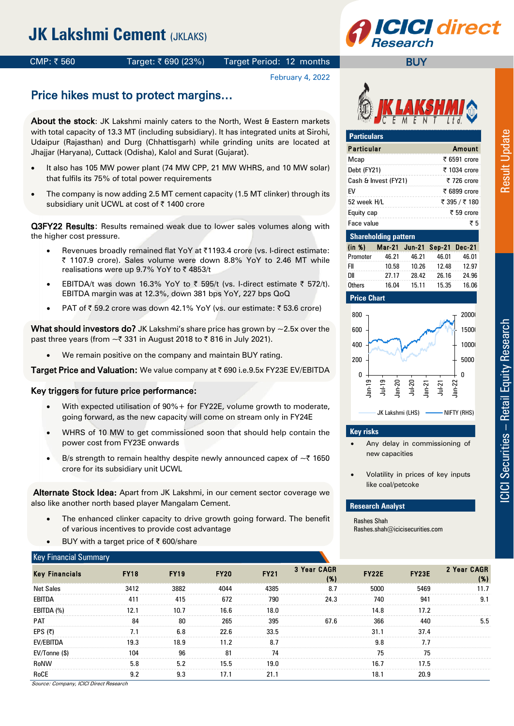# **JK Lakshmi Cement (JKLAKS)**



#### CMP:  $\bar{\tau}$  560 Target:  $\bar{\tau}$  690 (23%) Target Period: 12 months

# **CI direct**

**BUY** 

#### February 4, 2022

## Price hikes must to protect margins…

About the stock: JK Lakshmi mainly caters to the North, West & Eastern markets with total capacity of 13.3 MT (including subsidiary). It has integrated units at Sirohi, Udaipur (Rajasthan) and Durg (Chhattisgarh) while grinding units are located at Jhajjar (Haryana), Cuttack (Odisha), Kalol and Surat (Gujarat).

- It also has 105 MW power plant (74 MW CPP, 21 MW WHRS, and 10 MW solar) that fulfils its 75% of total power requirements
- The company is now adding 2.5 MT cement capacity (1.5 MT clinker) through its subsidiary unit UCWL at cost of ₹ 1400 crore

**Q3FY22 Results:** Results remained weak due to lower sales volumes along with the higher cost pressure.

- Revenues broadly remained flat YoY at ₹1193.4 crore (vs. I-direct estimate: ₹ 1107.9 crore). Sales volume were down 8.8% YoY to 2.46 MT while realisations were up 9.7% YoY to ₹4853/t
- EBITDA/t was down 16.3% YoY to  $\bar{\tau}$  595/t (vs. I-direct estimate  $\bar{\tau}$  572/t). EBITDA margin was at 12.3%, down 381 bps YoY, 227 bps QoQ
- PAT of  $\bar{z}$  59.2 crore was down 42.1% YoY (vs. our estimate:  $\bar{z}$  53.6 crore)

**What should investors do?** JK Lakshmi's share price has grown by  $\sim$ 2.5x over the past three years (from  $\sim$  ₹ 331 in August 2018 to ₹ 816 in July 2021).

We remain positive on the company and maintain BUY rating.

Target Price and Valuation: We value company at  $\bar{\tau}$  690 i.e.9.5x FY23E EV/EBITDA

#### Key triggers for future price performance:

- With expected utilisation of 90%+ for FY22E, volume growth to moderate, going forward, as the new capacity will come on stream only in FY24E
- WHRS of 10 MW to get commissioned soon that should help contain the power cost from FY23E onwards
- B/s strength to remain healthy despite newly announced capex of  $\sim$  7 1650 crore for its subsidiary unit UCWL

Alternate Stock Idea: Apart from JK Lakshmi, in our cement sector coverage we also like another north based player Mangalam Cement.

- The enhanced clinker capacity to drive growth going forward. The benefit of various incentives to provide cost advantage
- BUY with a target price of ₹ 600/share

#### Key Financial Summary



| <b>Particulars</b>   |               |
|----------------------|---------------|
| <b>Particular</b>    | Amount        |
| Mcap                 | ₹ 6591 crore  |
| Debt (FY21)          | ₹ 1034 crore  |
| Cash & Invest (FY21) | ₹ 726 crore   |
| FV                   | ₹ 6899 crore  |
| 52 week H/L          | ₹ 395 / ₹ 180 |
| Equity cap           | ₹ 59 crore    |
| Face value           | ₹5            |

| <b>Shareholding pattern</b> |       |       |                             |       |  |  |  |  |  |  |  |  |
|-----------------------------|-------|-------|-----------------------------|-------|--|--|--|--|--|--|--|--|
| (in %)                      |       |       | Mar-21 Jun-21 Sep-21 Dec-21 |       |  |  |  |  |  |  |  |  |
| Promoter                    | 46.21 | 46.21 | 46.01                       | 46.01 |  |  |  |  |  |  |  |  |
| FII                         | 10.58 | 10.26 | 12.48                       | 12.97 |  |  |  |  |  |  |  |  |
| DШ                          | 27.17 | 28.42 | 26.16                       | 24.96 |  |  |  |  |  |  |  |  |
| Others                      | 16.04 | 15.11 | 15.35                       | 16.06 |  |  |  |  |  |  |  |  |

#### **Price Chart**



#### **Key risks**

- Any delay in commissioning of new capacities
- Volatility in prices of key inputs like coal/petcoke

#### **Research Analyst**

Rashes Shah Rashes.shah@icicisecurities.com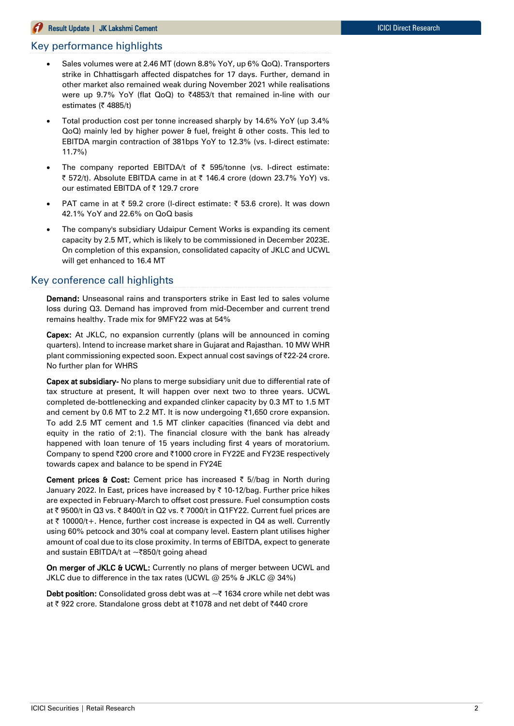#### **Result Update | JK Lakshmi Cement ICICI Direct Research ICICI Direct Research**

#### Key performance highlights

- Sales volumes were at 2.46 MT (down 8.8% YoY, up 6% QoQ). Transporters strike in Chhattisgarh affected dispatches for 17 days. Further, demand in other market also remained weak during November 2021 while realisations were up 9.7% YoY (flat QoQ) to ₹4853/t that remained in-line with our estimates (₹ 4885/t)
- Total production cost per tonne increased sharply by 14.6% YoY (up 3.4% QoQ) mainly led by higher power & fuel, freight & other costs. This led to EBITDA margin contraction of 381bps YoY to 12.3% (vs. I-direct estimate: 11.7%)
- The company reported EBITDA/t of  $\bar{\tau}$  595/tonne (vs. I-direct estimate: ₹ 572/t). Absolute EBITDA came in at ₹ 146.4 crore (down 23.7% YoY) vs. our estimated EBITDA of ₹ 129.7 crore
- PAT came in at  $\bar{\tau}$  59.2 crore (I-direct estimate:  $\bar{\tau}$  53.6 crore). It was down 42.1% YoY and 22.6% on QoQ basis
- The company's subsidiary Udaipur Cement Works is expanding its cement capacity by 2.5 MT, which is likely to be commissioned in December 2023E. On completion of this expansion, consolidated capacity of JKLC and UCWL will get enhanced to 16.4 MT

#### Key conference call highlights

Demand: Unseasonal rains and transporters strike in East led to sales volume loss during Q3. Demand has improved from mid-December and current trend remains healthy. Trade mix for 9MFY22 was at 54%

Capex: At JKLC, no expansion currently (plans will be announced in coming quarters). Intend to increase market share in Gujarat and Rajasthan. 10 MW WHR plant commissioning expected soon. Expect annual cost savings of ₹22-24 crore. No further plan for WHRS

Capex at subsidiary- No plans to merge subsidiary unit due to differential rate of tax structure at present. It will happen over next two to three years. UCWL completed de-bottlenecking and expanded clinker capacity by 0.3 MT to 1.5 MT and cement by 0.6 MT to 2.2 MT. It is now undergoing  $\overline{51,650}$  crore expansion. To add 2.5 MT cement and 1.5 MT clinker capacities (financed via debt and equity in the ratio of 2:1). The financial closure with the bank has already happened with loan tenure of 15 years including first 4 years of moratorium. Company to spend ₹200 crore and ₹1000 crore in FY22E and FY23E respectively towards capex and balance to be spend in FY24E

Cement prices & Cost: Cement price has increased  $\bar{\tau}$  5//bag in North during January 2022. In East, prices have increased by | 10-12/bag. Further price hikes are expected in February-March to offset cost pressure. Fuel consumption costs at  $\bar{\tau}$  9500/t in Q3 vs.  $\bar{\tau}$  8400/t in Q2 vs.  $\bar{\tau}$  7000/t in Q1FY22. Current fuel prices are at ₹ 10000/t+. Hence, further cost increase is expected in  $Q4$  as well. Currently using 60% petcock and 30% coal at company level. Eastern plant utilises higher amount of coal due to its close proximity. In terms of EBITDA, expect to generate and sustain EBITDA/t at  $\sim$ ₹850/t going ahead

On merger of JKLC & UCWL: Currently no plans of merger between UCWL and JKLC due to difference in the tax rates (UCWL  $@$  25% & JKLC  $@$  34%)

**Debt position:** Consolidated gross debt was at  $\sim$  ₹ 1634 crore while net debt was at ₹922 crore. Standalone gross debt at ₹1078 and net debt of ₹440 crore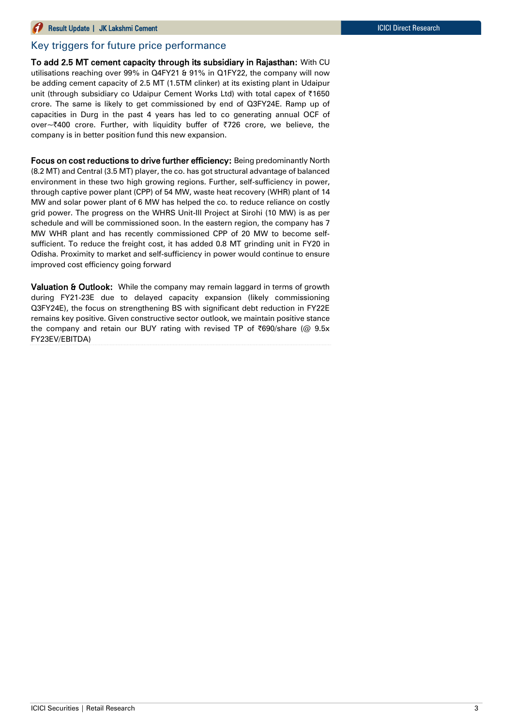#### Key triggers for future price performance

To add 2.5 MT cement capacity through its subsidiary in Rajasthan: With CU utilisations reaching over 99% in Q4FY21 & 91% in Q1FY22, the company will now be adding cement capacity of 2.5 MT (1.5TM clinker) at its existing plant in Udaipur unit (through subsidiary co Udaipur Cement Works Ltd) with total capex of |1650 crore. The same is likely to get commissioned by end of Q3FY24E. Ramp up of capacities in Durg in the past 4 years has led to co generating annual OCF of over~₹400 crore. Further, with liquidity buffer of ₹726 crore, we believe, the company is in better position fund this new expansion.

Focus on cost reductions to drive further efficiency: Being predominantly North (8.2 MT) and Central (3.5 MT) player, the co. has got structural advantage of balanced environment in these two high growing regions. Further, self-sufficiency in power, through captive power plant (CPP) of 54 MW, waste heat recovery (WHR) plant of 14 MW and solar power plant of 6 MW has helped the co. to reduce reliance on costly grid power. The progress on the WHRS Unit-III Project at Sirohi (10 MW) is as per schedule and will be commissioned soon. In the eastern region, the company has 7 MW WHR plant and has recently commissioned CPP of 20 MW to become selfsufficient. To reduce the freight cost, it has added 0.8 MT grinding unit in FY20 in Odisha. Proximity to market and self-sufficiency in power would continue to ensure improved cost efficiency going forward

Valuation & Outlook: While the company may remain laggard in terms of growth during FY21-23E due to delayed capacity expansion (likely commissioning Q3FY24E), the focus on strengthening BS with significant debt reduction in FY22E remains key positive. Given constructive sector outlook, we maintain positive stance the company and retain our BUY rating with revised TP of  $\overline{690}$ /share (@ 9.5x FY23EV/EBITDA)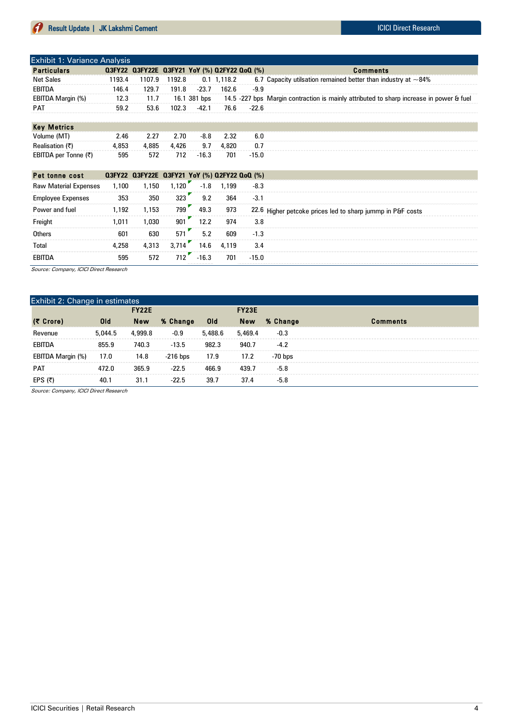| <b>Exhibit 1: Variance Analysis</b> |        |                                                   |               |              |             |         |                                                                                         |
|-------------------------------------|--------|---------------------------------------------------|---------------|--------------|-------------|---------|-----------------------------------------------------------------------------------------|
| <b>Particulars</b>                  |        | 0.3FY22 0.3FY22E 0.3FY21 YoY (%) 0.2FY22 0.00 (%) |               |              |             |         | <b>Comments</b>                                                                         |
| Net Sales                           | 1193.4 |                                                   | 1107.9 1192.8 |              | 0.1 1.118.2 |         | 6.7 Capacity utilsation remained better than industry at $\sim$ 84%                     |
| EBITDA                              | 146.4  | 129.7                                             | 191.8         | $-23.7$      | 162.6       | -99     |                                                                                         |
| EBITDA Margin (%)                   | 12.3   | 11.7                                              |               | 16.1 381 bps |             |         | 14.5 -227 bps Margin contraction is mainly attributed to sharp increase in power & fuel |
| <b>PAT</b>                          | 59.2   | 53.6                                              | 102.3         | $-42.1$      | 76.6        | $-22.6$ |                                                                                         |
|                                     |        |                                                   |               |              |             |         |                                                                                         |

| <b>Key Metrics</b>   |       |      |                       |       |             |         |
|----------------------|-------|------|-----------------------|-------|-------------|---------|
| Volume (MT)          | 2.46  | 2.27 | 2.70                  |       | $-8.8$ 2.32 |         |
| Realisation (₹)      | 4,853 |      | 4,885 4,426 9.7 4,820 |       |             |         |
| EBITDA per Tonne (₹) | 595   | 572  | 712                   | -16.3 | 701         | $-15.0$ |

| Pet tonne cost               |       | 0.3FY22 0.3FY22E 0.3FY21 YoY (%) 0.2FY22 0.00 (%) |       |         |       |         |                                                            |
|------------------------------|-------|---------------------------------------------------|-------|---------|-------|---------|------------------------------------------------------------|
| <b>Raw Material Expenses</b> | 1.100 | 1,150                                             | 1.120 | $-1.8$  | 1.199 | $-8.3$  |                                                            |
| <b>Employee Expenses</b>     | 353   | 350                                               | 323   | 9.2     | 364   | $-3.1$  |                                                            |
| Power and fuel               | 1,192 | 1,153                                             | 799   | 49.3    | 973   |         | 22.6 Higher petcoke prices led to sharp jummp in P&F costs |
| Freight                      | 1.011 | 1,030                                             | 901   | 12.2    | 974   | 3.8     |                                                            |
| <b>Others</b>                | 601   | 630                                               | 571   | 5.2     | 609   | $-1.3$  |                                                            |
| Total                        | 4.258 | 4,313                                             | 3.714 | 14.6    | 4,119 | 3.4     |                                                            |
| EBITDA                       | 595   | 572                                               | 712   | $-16.3$ | 701   | $-15.0$ |                                                            |

Source: Company, ICICI Direct Research

| Exhibit 2: Change in estimates |            |              |            |            |              |           |                 |  |  |  |  |  |  |
|--------------------------------|------------|--------------|------------|------------|--------------|-----------|-----------------|--|--|--|--|--|--|
|                                |            | <b>FY22E</b> |            |            | <b>FY23E</b> |           |                 |  |  |  |  |  |  |
| (₹ Crore)                      | <b>Old</b> | <b>New</b>   | % Change   | <b>Old</b> | <b>New</b>   | % Change  | <b>Comments</b> |  |  |  |  |  |  |
| Revenue                        | 5.044.5    | 4,999.8      | $-0.9$     | 5,488.6    | 5,469.4      | $-0.3$    |                 |  |  |  |  |  |  |
| <b>EBITDA</b>                  | 855.9      | 740.3        | $-13.5$    | 982.3      | 940.7        | $-4.2$    |                 |  |  |  |  |  |  |
| EBITDA Margin (%)              | 17.0       | 14.8         | $-216$ bps | 17.9       | 17.2         | $-70$ bps |                 |  |  |  |  |  |  |
| <b>PAT</b>                     | 472.0      | 365.9        | $-22.5$    | 466.9      | 439.7        | $-5.8$    |                 |  |  |  |  |  |  |
| EPS (₹)                        | 40.1       | 31.1         | $-22.5$    | 39.7       | 37.4         | $-5.8$    |                 |  |  |  |  |  |  |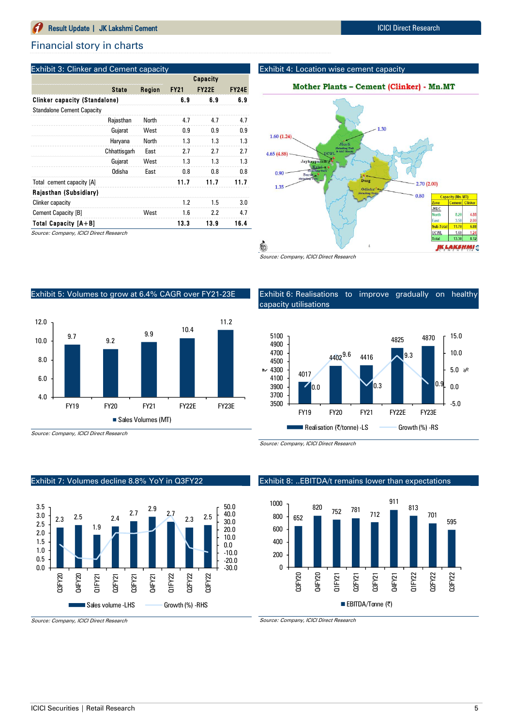#### Financial story in charts

#### Exhibit 3: Clinker and Cement capacity

|                                      | <b>State</b><br>Rajasthan<br>Gujarat<br>Haryana<br>Chhattisgarh<br>Gujarat<br>Odisha |        |             | Capacity     |              |
|--------------------------------------|--------------------------------------------------------------------------------------|--------|-------------|--------------|--------------|
|                                      |                                                                                      | Region | <b>FY21</b> | <b>FY22E</b> | <b>FY24E</b> |
| <b>Clinker capacity (Standalone)</b> |                                                                                      |        | 6.9         | 6.9          | 6.9          |
| <b>Standalone Cement Capacity</b>    |                                                                                      |        |             |              |              |
|                                      |                                                                                      | North  | 4.7         | 4.7          | 4.7          |
|                                      |                                                                                      | West   | 0.9         | 0.9          | 0.9          |
|                                      |                                                                                      | North  | 1.3         | 1.3          | 1.3          |
|                                      |                                                                                      | East   | 2.7         | 2.7          | 2.7          |
|                                      |                                                                                      | West   | 1.3         | 1.3          | 1.3          |
|                                      |                                                                                      | East   | 0.8         | 0.8          | 0.8          |
| Total cement capacity [A]            |                                                                                      |        | 11.7        | 11.7         | 11.7         |
| Rajasthan (Subsidiary)               |                                                                                      |        |             |              |              |
| Clinker capacity                     |                                                                                      |        | 1.2         | 1.5          | 3.0          |
| Cement Capacity [B]                  |                                                                                      | West   | 1.6         | 2.2          | 4.7          |
| <b>Total Capacity [A+B]</b>          |                                                                                      |        | 13.3        | 13.9         | 16.4         |

Source: Company, ICICI Direct Research

#### Exhibit 4: Location wise cement capacity





Exhibit 6: Realisations to improve gradually on healthy

 $\overline{0.3}$ 

FY19 FY20 FY21 FY22E FY23E

4825 4870

0.9

-5.0 0.0 5.0 %

10.0

15.0

 $9.3$ 

Source: Company, ICICI Direct Research

capacity utilisations

#### Exhibit 5: Volumes to grow at 6.4% CAGR over FY21-23E



#### 0.0 3700 3900

4017

■ Realisation (₹/tonne) -LS Growth (%) -RS

4402<sup>9.6</sup> 4416

Source: Company, ICICI Direct Research

Source: Company, ICICI Direct Research

3500

#### Exhibit 8: ..EBITDA/t remains lower than expectations



Source: Company, ICICI Direct Research

# Exhibit 7: Volumes decline 8.8% YoY in Q3FY22

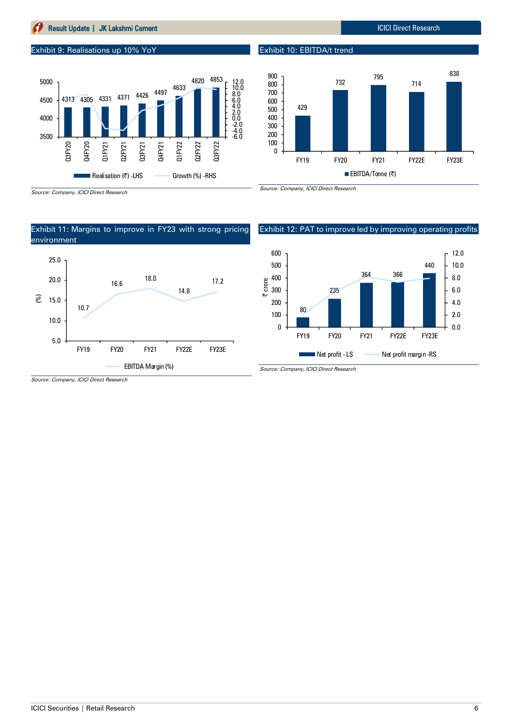### **Result Update | JK Lakshmi Cement ICICI Direct Research** ICICI Direct Research

#### Exhibit 9: Realisations up 10% YoY



Exhibit 10: EBITDA/t trend



Source: Company, ICICI Direct Research



#### Exhibit 12: PAT to improve led by improving operating profits

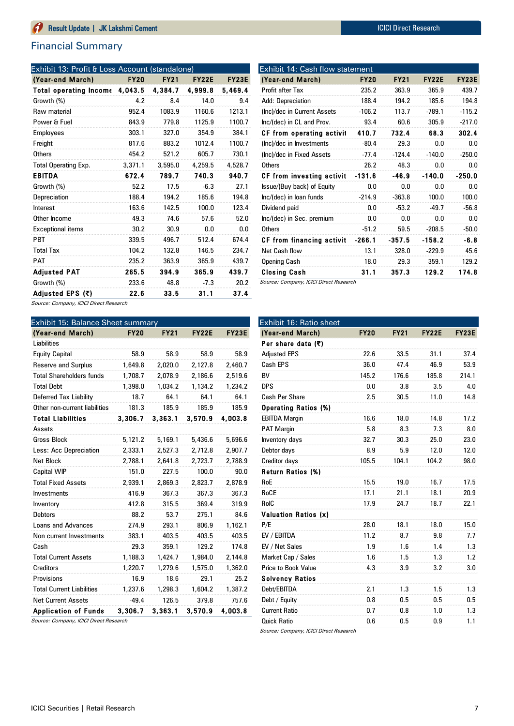## Financial Summary

| Exhibit 13: Profit & Loss Account (standalone) |             |             |              |              |
|------------------------------------------------|-------------|-------------|--------------|--------------|
| (Year-end March)                               | <b>FY20</b> | <b>FY21</b> | <b>FY22E</b> | <b>FY23E</b> |
| Total operating Income                         | 4,043.5     | 4,384.7     | 4,999.8      | 5,469.4      |
| Growth (%)                                     | 4.2         | 8.4         | 14.0         | 9.4          |
| Raw material                                   | 952.4       | 1083.9      | 1160.6       | 1213.1       |
| Power & Fuel                                   | 843.9       | 779.8       | 1125.9       | 1100.7       |
| <b>Employees</b>                               | 303.1       | 327.0       | 354.9        | 384.1        |
| Freight                                        | 817.6       | 883.2       | 1012.4       | 1100.7       |
| <b>Others</b>                                  | 454.2       | 521.2       | 605.7        | 730.1        |
| <b>Total Operating Exp.</b>                    | 3.371.1     | 3,595.0     | 4,259.5      | 4,528.7      |
| <b>EBITDA</b>                                  | 672.4       | 789.7       | 740.3        | 940.7        |
| Growth (%)                                     | 52.2        | 17.5        | $-6.3$       | 27.1         |
| Depreciation                                   | 188.4       | 194.2       | 185.6        | 194.8        |
| Interest                                       | 163.6       | 142.5       | 100.0        | 123.4        |
| Other Income                                   | 49.3        | 74.6        | 57.6         | 52.0         |
| <b>Exceptional items</b>                       | 30.2        | 30.9        | 0.0          | 0.0          |
| <b>PBT</b>                                     | 339.5       | 496.7       | 512.4        | 674.4        |
| <b>Total Tax</b>                               | 104.2       | 132.8       | 146.5        | 234.7        |
| <b>PAT</b>                                     | 235.2       | 363.9       | 365.9        | 439.7        |
| <b>Adjusted PAT</b>                            | 265.5       | 394.9       | 365.9        | 439.7        |
| Growth (%)                                     | 233.6       | 48.8        | $-7.3$       | 20.2         |
| Adjusted EPS (₹)                               | 22.6        | 33.5        | 31.1         | 37.4         |

| Exhibit 14: Cash flow statement |             |             |              |              |  |  |  |  |  |  |  |  |
|---------------------------------|-------------|-------------|--------------|--------------|--|--|--|--|--|--|--|--|
| (Year-end March)                | <b>FY20</b> | <b>FY21</b> | <b>FY22E</b> | <b>FY23E</b> |  |  |  |  |  |  |  |  |
| Profit after Tax                | 235.2       | 363.9       | 365.9        | 439.7        |  |  |  |  |  |  |  |  |
| Add: Depreciation               | 188.4       | 194.2       | 185.6        | 194.8        |  |  |  |  |  |  |  |  |
| (Inc)/dec in Current Assets     | $-106.2$    | 113.7       | $-789.1$     | $-115.2$     |  |  |  |  |  |  |  |  |
| Inc/(dec) in CL and Prov.       | 93.4        | 60.6        | 305.9        | $-217.0$     |  |  |  |  |  |  |  |  |
| CF from operating activit       | 410.7       | 732.4       | 68.3         | 302.4        |  |  |  |  |  |  |  |  |
| (Inc)/dec in Investments        | $-80.4$     | 29.3        | 0.0          | 0.0          |  |  |  |  |  |  |  |  |
| (Inc)/dec in Fixed Assets       | $-77.4$     | $-124.4$    | $-140.0$     | $-250.0$     |  |  |  |  |  |  |  |  |
| Others                          | 26.2        | 48.3        | 0.0          | 0.0          |  |  |  |  |  |  |  |  |
| CF from investing activit       | $-131.6$    | $-46.9$     | $-140.0$     | $-250.0$     |  |  |  |  |  |  |  |  |
| Issue/(Buy back) of Equity      | 0.0         | 0.0         | 0.0          | 0.0          |  |  |  |  |  |  |  |  |
| Inc/(dec) in loan funds         | $-214.9$    | $-363.8$    | 100.0        | 100.0        |  |  |  |  |  |  |  |  |
| Dividend paid                   | 0.0         | $-53.2$     | $-49.7$      | $-56.8$      |  |  |  |  |  |  |  |  |
| Inc/(dec) in Sec. premium       | 0.0         | 0.0         | 0.0          | 0.0          |  |  |  |  |  |  |  |  |
| <b>Others</b>                   | $-51.2$     | 59.5        | $-208.5$     | $-50.0$      |  |  |  |  |  |  |  |  |
| CF from financing activit       | $-266.1$    | $-357.5$    | $-158.2$     | -6.8         |  |  |  |  |  |  |  |  |
| Net Cash flow                   | 13.1        | 328.0       | $-229.9$     | 45.6         |  |  |  |  |  |  |  |  |
| <b>Opening Cash</b>             | 18.0        | 29.3        | 359.1        | 129.2        |  |  |  |  |  |  |  |  |
| Closing Cash                    | 31.1        | 357.3       | 129.2        | 174.8        |  |  |  |  |  |  |  |  |

Source: Company, ICICI Direct Research

Source: Company, ICICI Direct Research

| Exhibit 15: Balance Sheet summary |             |             |              |         |  |  |  |  |  |  |  |  |
|-----------------------------------|-------------|-------------|--------------|---------|--|--|--|--|--|--|--|--|
| (Year-end March)                  | <b>FY20</b> | <b>FY21</b> | <b>FY22E</b> | FY23E   |  |  |  |  |  |  |  |  |
| Liabilities                       |             |             |              |         |  |  |  |  |  |  |  |  |
| <b>Equity Capital</b>             | 58.9        | 58.9        | 58.9         | 58.9    |  |  |  |  |  |  |  |  |
| <b>Reserve and Surplus</b>        | 1,649.8     | 2,020.0     | 2,127.8      | 2,460.7 |  |  |  |  |  |  |  |  |
| <b>Total Shareholders funds</b>   | 1,708.7     | 2,078.9     | 2,186.6      | 2,519.6 |  |  |  |  |  |  |  |  |
| <b>Total Debt</b>                 | 1,398.0     | 1,034.2     | 1,134.2      | 1,234.2 |  |  |  |  |  |  |  |  |
| Deferred Tax Liability            | 18.7        | 64.1        | 64.1         | 64.1    |  |  |  |  |  |  |  |  |
| Other non-current liabilities     | 181.3       | 185.9       | 185.9        | 185.9   |  |  |  |  |  |  |  |  |
| <b>Total Liabilities</b>          | 3,306.7     | 3,363.1     | 3,570.9      | 4,003.8 |  |  |  |  |  |  |  |  |
| Assets                            |             |             |              |         |  |  |  |  |  |  |  |  |
| Gross Block                       | 5,121.2     | 5,169.1     | 5,436.6      | 5,696.6 |  |  |  |  |  |  |  |  |
| Less: Acc Depreciation            | 2,333.1     | 2,527.3     | 2,712.8      | 2,907.7 |  |  |  |  |  |  |  |  |
| <b>Net Block</b>                  | 2,788.1     | 2,641.8     | 2,723.7      | 2,788.9 |  |  |  |  |  |  |  |  |
| <b>Capital WIP</b>                | 151.0       | 227.5       | 100.0        | 90.0    |  |  |  |  |  |  |  |  |
| <b>Total Fixed Assets</b>         | 2.939.1     | 2,869.3     | 2,823.7      | 2,878.9 |  |  |  |  |  |  |  |  |
| <b>Investments</b>                | 416.9       | 367.3       | 367.3        | 367.3   |  |  |  |  |  |  |  |  |
| Inventory                         | 412.8       | 315.5       | 369.4        | 319.9   |  |  |  |  |  |  |  |  |
| <b>Debtors</b>                    | 88.2        | 53.7        | 275.1        | 84.6    |  |  |  |  |  |  |  |  |
| <b>Loans and Advances</b>         | 274.9       | 293.1       | 806.9        | 1,162.1 |  |  |  |  |  |  |  |  |
| Non current Investments           | 383.1       | 403.5       | 403.5        | 403.5   |  |  |  |  |  |  |  |  |
| Cash                              | 29.3        | 359.1       | 129.2        | 174.8   |  |  |  |  |  |  |  |  |
| <b>Total Current Assets</b>       | 1,188.3     | 1,424.7     | 1,984.0      | 2,144.8 |  |  |  |  |  |  |  |  |
| <b>Creditors</b>                  | 1,220.7     | 1,279.6     | 1,575.0      | 1,362.0 |  |  |  |  |  |  |  |  |
| Provisions                        | 16.9        | 18.6        | 29.1         | 25.2    |  |  |  |  |  |  |  |  |
| <b>Total Current Liabilities</b>  | 1,237.6     | 1,298.3     | 1,604.2      | 1,387.2 |  |  |  |  |  |  |  |  |
| <b>Net Current Assets</b>         | $-49.4$     | 126.5       | 379.8        | 757.6   |  |  |  |  |  |  |  |  |
| <b>Application of Funds</b>       | 3,306.7     | 3,363.1     | 3,570.9      | 4.003.8 |  |  |  |  |  |  |  |  |

Source: Company, ICICI Direct Research

| Exhibit 16: Ratio sheet     |             |             |              |              |
|-----------------------------|-------------|-------------|--------------|--------------|
| (Year-end March)            | <b>FY20</b> | <b>FY21</b> | <b>FY22E</b> | <b>FY23E</b> |
| Per share data (₹)          |             |             |              |              |
| <b>Adjusted EPS</b>         | 22.6        | 33.5        | 31.1         | 37.4         |
| Cash EPS                    | 36.0        | 47.4        | 46.9         | 53.9         |
| BV                          | 145.2       | 176.6       | 185.8        | 214.1        |
| <b>DPS</b>                  | 0.0         | 3.8         | 3.5          | 4.0          |
| Cash Per Share              | 2.5         | 30.5        | 11.0         | 14.8         |
| <b>Operating Ratios (%)</b> |             |             |              |              |
| <b>EBITDA Margin</b>        | 16.6        | 18.0        | 14.8         | 17.2         |
| <b>PAT Margin</b>           | 5.8         | 8.3         | 7.3          | 8.0          |
| Inventory days              | 32.7        | 30.3        | 25.0         | 23.0         |
| Debtor days                 | 8.9         | 5.9         | 12.0         | 12.0         |
| Creditor days               | 105.5       | 104.1       | 104.2        | 98.0         |
| Return Ratios (%)           |             |             |              |              |
| RoE                         | 15.5        | 19.0        | 16.7         | 17.5         |
| RoCE                        | 17.1        | 21.1        | 18.1         | 20.9         |
| RoIC                        | 17.9        | 24.7        | 18.7         | 22.1         |
| <b>Valuation Ratios (x)</b> |             |             |              |              |
| P/E                         | 28.0        | 18.1        | 18.0         | 15.0         |
| EV / EBITDA                 | 11.2        | 8.7         | 9.8          | 7.7          |
| EV / Net Sales              | 1.9         | 1.6         | 1.4          | 1.3          |
| Market Cap / Sales          | 1.6         | 1.5         | 1.3          | 1.2          |
| <b>Price to Book Value</b>  | 4.3         | 3.9         | 3.2          | 3.0          |
| <b>Solvency Ratios</b>      |             |             |              |              |
| Debt/EBITDA                 | 2.1         | 1.3         | 1.5          | 1.3          |
| Debt / Equity               | 0.8         | 0.5         | 0.5          | 0.5          |
| <b>Current Ratio</b>        | 0.7         | 0.8         | 1.0          | 1.3          |
| <b>Quick Ratio</b>          | 0.6         | 0.5         | 0.9          | 1.1          |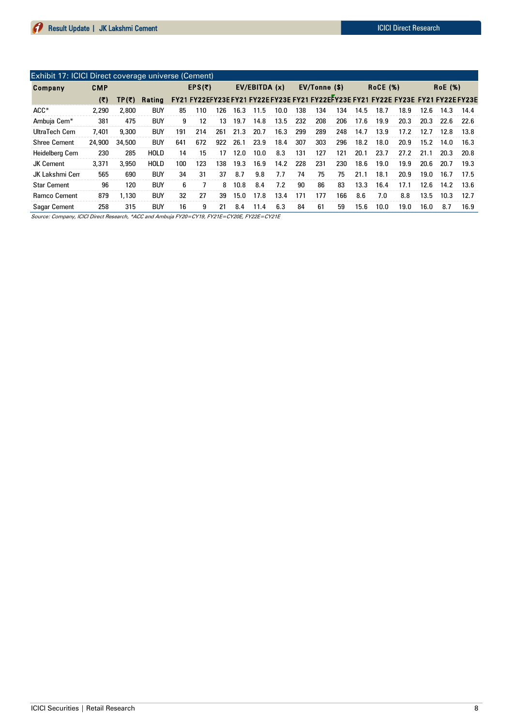| <b>Exhibit 17: ICICI Direct coverage universe (Cement)</b> |            |        |                                                                                           |     |     |               |      |      |      |               |     |     |                 |      |                |      |      |      |
|------------------------------------------------------------|------------|--------|-------------------------------------------------------------------------------------------|-----|-----|---------------|------|------|------|---------------|-----|-----|-----------------|------|----------------|------|------|------|
| Company                                                    | <b>CMP</b> | EPS(5) |                                                                                           |     |     | EV/EBITDA (x) |      |      |      | EV/Tonne (\$) |     |     | <b>RoCE (%)</b> |      | <b>RoE</b> (%) |      |      |      |
|                                                            | (5)        | TP(5)  | Rating FY21 FY22EFY23E FY21 FY22E FY23E FY21 FY22EFY23E FY21 FY22E FY23E FY21 FY22E FY23E |     |     |               |      |      |      |               |     |     |                 |      |                |      |      |      |
| $ACC*$                                                     | 2.290      | 2.800  | <b>BUY</b>                                                                                | 85  | 110 | 126           | 16.3 | 11.5 | 10.0 | 138           | 134 | 134 | 14.5            | 18.7 | 18.9           | 12.6 | 14.3 | 14.4 |
| Ambuja Cem <sup>*</sup>                                    | 381        | 475    | <b>BUY</b>                                                                                | 9   | 12  | 13            | 19.7 | 14.8 | 13.5 | 232           | 208 | 206 | 17.6            | 19.9 | 20.3           | 20.3 | 22.6 | 22.6 |
| UltraTech Cem                                              | 7.401      | 9,300  | <b>BUY</b>                                                                                | 191 | 214 | 261           | 21.3 | 20.7 | 16.3 | 299           | 289 | 248 | 14.7            | 13.9 | 17.2           | 12.7 | 12.8 | 13.8 |
| <b>Shree Cement</b>                                        | 24,900     | 34,500 | <b>BUY</b>                                                                                | 641 | 672 | 922           | 26.1 | 23.9 | 18.4 | 307           | 303 | 296 | 18.2            | 18.0 | 20.9           | 15.2 | 14.0 | 16.3 |
| Heidelberg Cem                                             | 230        | 285    | <b>HOLD</b>                                                                               | 14  | 15  | 17            | 12.0 | 10.0 | 8.3  | 131           | 127 | 121 | 20.1            | 23.7 | 27.2           | 21.1 | 20.3 | 20.8 |
| <b>JK Cement</b>                                           | 3.371      | 3.950  | <b>HOLD</b>                                                                               | 100 | 123 | 138           | 19.3 | 16.9 | 14.2 | 228           | 231 | 230 | 18.6            | 19.0 | 19.9           | 20.6 | 20.7 | 19.3 |
| JK Lakshmi Cen                                             | 565        | 690    | <b>BUY</b>                                                                                | 34  | 31  | 37            | 8.7  | 9.8  | 7.7  | 74            | 75  | 75  | 21.1            | 18.1 | 20.9           | 19.0 | 16.7 | 17.5 |
| <b>Star Cement</b>                                         | 96         | 120    | <b>BUY</b>                                                                                | 6   |     | 8             | 10.8 | 8.4  | 7.2  | 90            | 86  | 83  | 13.3            | 16.4 | 17.1           | 12.6 | 14.2 | 13.6 |
| <b>Ramco Cement</b>                                        | 879        | 1.130  | <b>BUY</b>                                                                                | 32  | 27  | 39            | 15.0 | 17.8 | 13.4 | 171           | 177 | 166 | 8.6             | 7.0  | 8.8            | 13.5 | 10.3 | 12.7 |
| <b>Sagar Cement</b>                                        | 258        | 315    | <b>BUY</b>                                                                                | 16  | 9   | 21            | 8.4  | 11.4 | 6.3  | 84            | 61  | 59  | 15.6            | 10.0 | 19.0           | 16.0 | 8.7  | 16.9 |

Source: Company, ICICI Direct Research, \*ACC and Ambuja FY20=CY19, FY21E=CY20E, FY22E=CY21E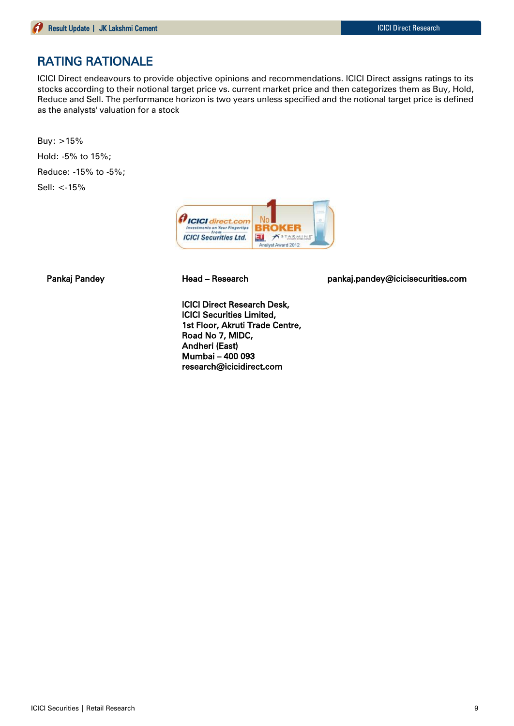# RATING RATIONALE

ICICI Direct endeavours to provide objective opinions and recommendations. ICICI Direct assigns ratings to its stocks according to their notional target price vs. current market price and then categorizes them as Buy, Hold, Reduce and Sell. The performance horizon is two years unless specified and the notional target price is defined as the analysts' valuation for a stock

Buy: >15% Hold: -5% to 15%; Reduce: -15% to -5%; Sell: <-15%



Pankaj Pandey **Head – Research head – Research** pankaj.pandey@icicisecurities.com

ICICI Direct Research Desk, ICICI Securities Limited, 1st Floor, Akruti Trade Centre, Road No 7, MIDC, Andheri (East) Mumbai – 400 093 research@icicidirect.com

ICICI Securities | Retail Research 9